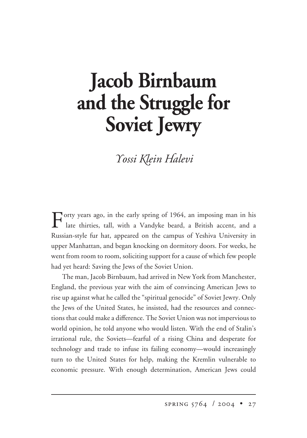# **Jacob Birnbaum and the Struggle for Soviet Jewry**

*ossi -lein alevi*

Forty years ago, in the early spring of 1964, an imposing man in his late thirties, tall, with a Vandyke beard, a British accent, and a Russian-style fur hat, appeared on the campus of Yeshiva University in upper Manhattan, and began knocking on dormitory doors. For weeks, he went from room to room, soliciting support for a cause of which few people had yet heard: Saving the Jews of the Soviet Union.

The man, Jacob Birnbaum, had arrived in New York from Manchester, England, the previous year with the aim of convincing American Jews to rise up against what he called the "spiritual genocide" of Soviet Jewry. Only the Jews of the United States, he insisted, had the resources and connections that could make a difference. The Soviet Union was not impervious to world opinion, he told anyone who would listen. With the end of Stalin's irrational rule, the Soviets—fearful of a rising China and desperate for technology and trade to infuse its failing economy—would increasingly turn to the United States for help, making the Kremlin vulnerable to economic pressure. With enough determination, American Jews could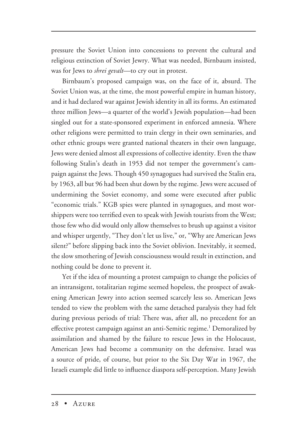pressure the Soviet Union into concessions to prevent the cultural and religious extinction of Soviet Jewry. What was needed, Birnbaum insisted, was for Jews to *shrei gevalt*—to cry out in protest.

Birnbaum's proposed campaign was, on the face of it, absurd. The Soviet Union was, at the time, the most powerful empire in human history, and it had declared war against Jewish identity in all its forms. An estimated three million Jews—a quarter of the world's Jewish population—had been singled out for a state-sponsored experiment in enforced amnesia. Where other religions were permitted to train clergy in their own seminaries, and other ethnic groups were granted national theaters in their own language, Jews were denied almost all expressions of collective identity. Even the thaw following Stalin's death in 1953 did not temper the government's campaign against the Jews. Though 450 synagogues had survived the Stalin era, by 1963, all but 96 had been shut down by the regime. Jews were accused of undermining the Soviet economy, and some were executed after public "economic trials." KGB spies were planted in synagogues, and most worshippers were too terrified even to speak with Jewish tourists from the West; those few who did would only allow themselves to brush up against a visitor and whisper urgently, "They don't let us live," or, "Why are American Jews silent?" before slipping back into the Soviet oblivion. Inevitably, it seemed, the slow smothering of Jewish consciousness would result in extinction, and nothing could be done to prevent it.

Yet if the idea of mounting a protest campaign to change the policies of an intransigent, totalitarian regime seemed hopeless, the prospect of awakening American Jewry into action seemed scarcely less so. American Jews tended to view the problem with the same detached paralysis they had felt during previous periods of trial: There was, after all, no precedent for an effective protest campaign against an anti-Semitic regime.<sup>1</sup> Demoralized by assimilation and shamed by the failure to rescue Jews in the Holocaust, American Jews had become a community on the defensive. Israel was a source of pride, of course, but prior to the Six Day War in 1967, the Israeli example did little to influence diaspora self-perception. Many Jewish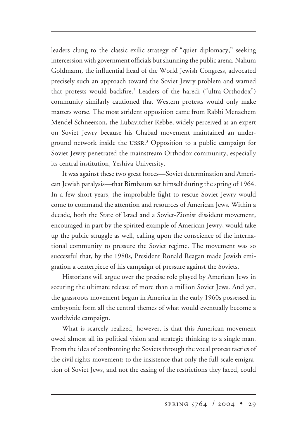leaders clung to the classic exilic strategy of "quiet diplomacy," seeking intercession with government officials but shunning the public arena. Nahum Goldmann, the influential head of the World Jewish Congress, advocated precisely such an approach toward the Soviet Jewry problem and warned that protests would backfire.2 Leaders of the haredi ("ultra-Orthodox") community similarly cautioned that Western protests would only make matters worse. The most strident opposition came from Rabbi Menachem Mendel Schneerson, the Lubavitcher Rebbe, widely perceived as an expert on Soviet Jewry because his Chabad movement maintained an underground network inside the USSR.<sup>3</sup> Opposition to a public campaign for Soviet Jewry penetrated the mainstream Orthodox community, especially its central institution, Yeshiva University.

It was against these two great forces—Soviet determination and American Jewish paralysis—that Birnbaum set himself during the spring of 1964. In a few short years, the improbable fight to rescue Soviet Jewry would come to command the attention and resources of American Jews. Within a decade, both the State of Israel and a Soviet-Zionist dissident movement, encouraged in part by the spirited example of American Jewry, would take up the public struggle as well, calling upon the conscience of the international community to pressure the Soviet regime. The movement was so successful that, by the 1980s, President Ronald Reagan made Jewish emigration a centerpiece of his campaign of pressure against the Soviets.

Historians will argue over the precise role played by American Jews in securing the ultimate release of more than a million Soviet Jews. And yet, the grassroots movement begun in America in the early 1960s possessed in embryonic form all the central themes of what would eventually become a worldwide campaign.

What is scarcely realized, however, is that this American movement owed almost all its political vision and strategic thinking to a single man. From the idea of confronting the Soviets through the vocal protest tactics of the civil rights movement; to the insistence that only the full-scale emigration of Soviet Jews, and not the easing of the restrictions they faced, could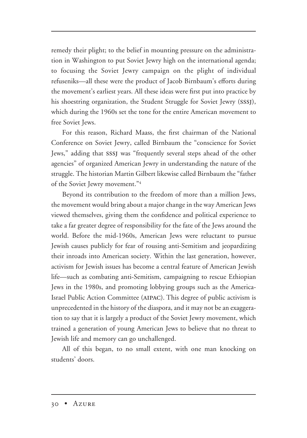remedy their plight; to the belief in mounting pressure on the administration in Washington to put Soviet Jewry high on the international agenda; to focusing the Soviet Jewry campaign on the plight of individual refuseniks—all these were the product of Jacob Birnbaum's efforts during the movement's earliest years. All these ideas were first put into practice by his shoestring organization, the Student Struggle for Soviet Jewry (sssj), which during the 1960s set the tone for the entire American movement to free Soviet Jews.

For this reason, Richard Maass, the first chairman of the National Conference on Soviet Jewry, called Birnbaum the "conscience for Soviet Jews," adding that sssj was "frequently several steps ahead of the other agencies" of organized American Jewry in understanding the nature of the struggle. The historian Martin Gilbert likewise called Birnbaum the "father of the Soviet Jewry movement."4

Beyond its contribution to the freedom of more than a million Jews, the movement would bring about a major change in the way American Jews viewed themselves, giving them the confidence and political experience to take a far greater degree of responsibility for the fate of the Jews around the world. Before the mid-1960s, American Jews were reluctant to pursue Jewish causes publicly for fear of rousing anti-Semitism and jeopardizing their inroads into American society. Within the last generation, however, activism for Jewish issues has become a central feature of American Jewish life—such as combating anti-Semitism, campaigning to rescue Ethiopian Jews in the 1980s, and promoting lobbying groups such as the America-Israel Public Action Committee (aipac). This degree of public activism is unprecedented in the history of the diaspora, and it may not be an exaggeration to say that it is largely a product of the Soviet Jewry movement, which trained a generation of young American Jews to believe that no threat to Jewish life and memory can go unchallenged.

All of this began, to no small extent, with one man knocking on students' doors.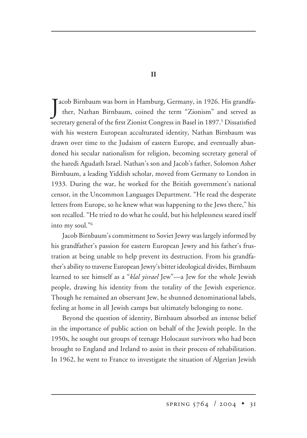Jacob Birnbaum was born in Hamburg, Germany, in 1926. His grandfa-<br>ther, Nathan Birnbaum, coined the term "Zionism" and served as ther, Nathan Birnbaum, coined the term "Zionism" and served as secretary general of the first Zionist Congress in Basel in 1897.<sup>5</sup> Dissatisfied with his western European acculturated identity, Nathan Birnbaum was drawn over time to the Judaism of eastern Europe, and eventually abandoned his secular nationalism for religion, becoming secretary general of the haredi Agudath Israel. Nathan's son and Jacob's father, Solomon Asher Birnbaum, a leading Yiddish scholar, moved from Germany to London in 1933. During the war, he worked for the British government's national censor, in the Uncommon Languages Department. "He read the desperate letters from Europe, so he knew what was happening to the Jews there," his son recalled. "He tried to do what he could, but his helplessness seared itself into my soul."6

Jacob Birnbaum's commitment to Soviet Jewry was largely informed by his grandfather's passion for eastern European Jewry and his father's frustration at being unable to help prevent its destruction. From his grandfather's ability to traverse European Jewry's bitter ideological divides, Birnbaum learned to see himself as a "*klal yisrael* Jew"—a Jew for the whole Jewish people, drawing his identity from the totality of the Jewish experience. Though he remained an observant Jew, he shunned denominational labels, feeling at home in all Jewish camps but ultimately belonging to none.

Beyond the question of identity, Birnbaum absorbed an intense belief in the importance of public action on behalf of the Jewish people. In the 1950s, he sought out groups of teenage Holocaust survivors who had been brought to England and Ireland to assist in their process of rehabilitation. In 1962, he went to France to investigate the situation of Algerian Jewish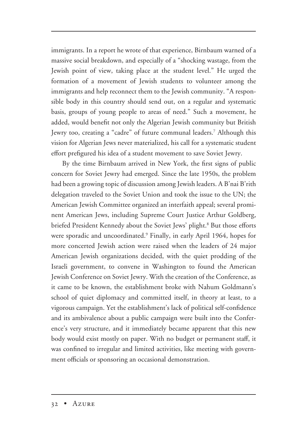immigrants. In a report he wrote of that experience, Birnbaum warned of a massive social breakdown, and especially of a "shocking wastage, from the Jewish point of view, taking place at the student level." He urged the formation of a movement of Jewish students to volunteer among the immigrants and help reconnect them to the Jewish community. "A responsible body in this country should send out, on a regular and systematic basis, groups of young people to areas of need." Such a movement, he added, would benefit not only the Algerian Jewish community but British Jewry too, creating a "cadre" of future communal leaders.7 Although this vision for Algerian Jews never materialized, his call for a systematic student effort prefigured his idea of a student movement to save Soviet Jewry.

By the time Birnbaum arrived in New York, the first signs of public concern for Soviet Jewry had emerged. Since the late 1950s, the problem had been a growing topic of discussion among Jewish leaders. A B'nai B'rith delegation traveled to the Soviet Union and took the issue to the UN; the American Jewish Committee organized an interfaith appeal; several prominent American Jews, including Supreme Court Justice Arthur Goldberg, briefed President Kennedy about the Soviet Jews' plight.<sup>8</sup> But those efforts were sporadic and uncoordinated.9 Finally, in early April 1964, hopes for more concerted Jewish action were raised when the leaders of 24 major American Jewish organizations decided, with the quiet prodding of the Israeli government, to convene in Washington to found the American Jewish Conference on Soviet Jewry. With the creation of the Conference, as it came to be known, the establishment broke with Nahum Goldmann's school of quiet diplomacy and committed itself, in theory at least, to a vigorous campaign. Yet the establishment's lack of political self-confidence and its ambivalence about a public campaign were built into the Conference's very structure, and it immediately became apparent that this new body would exist mostly on paper. With no budget or permanent staff, it was confined to irregular and limited activities, like meeting with government officials or sponsoring an occasional demonstration.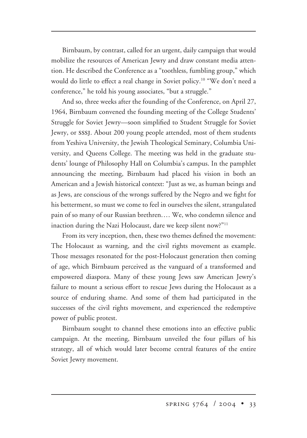Birnbaum, by contrast, called for an urgent, daily campaign that would mobilize the resources of American Jewry and draw constant media attention. He described the Conference as a "toothless, fumbling group," which would do little to effect a real change in Soviet policy.<sup>10</sup> "We don't need a conference," he told his young associates, "but a struggle."

And so, three weeks after the founding of the Conference, on April 27, 1964, Birnbaum convened the founding meeting of the College Students' Struggle for Soviet Jewry—soon simplified to Student Struggle for Soviet Jewry, or sssj. About 200 young people attended, most of them students from Yeshiva University, the Jewish Theological Seminary, Columbia University, and Queens College. The meeting was held in the graduate students' lounge of Philosophy Hall on Columbia's campus. In the pamphlet announcing the meeting, Birnbaum had placed his vision in both an American and a Jewish historical context: "Just as we, as human beings and as Jews, are conscious of the wrongs suffered by the Negro and we fight for his betterment, so must we come to feel in ourselves the silent, strangulated pain of so many of our Russian brethren.… We, who condemn silence and inaction during the Nazi Holocaust, dare we keep silent now?"11

From its very inception, then, these two themes defined the movement: The Holocaust as warning, and the civil rights movement as example. Those messages resonated for the post-Holocaust generation then coming of age, which Birnbaum perceived as the vanguard of a transformed and empowered diaspora. Many of these young Jews saw American Jewry's failure to mount a serious effort to rescue Jews during the Holocaust as a source of enduring shame. And some of them had participated in the successes of the civil rights movement, and experienced the redemptive power of public protest.

Birnbaum sought to channel these emotions into an effective public campaign. At the meeting, Birnbaum unveiled the four pillars of his strategy, all of which would later become central features of the entire Soviet Jewry movement.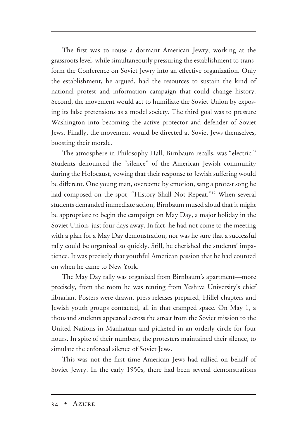The first was to rouse a dormant American Jewry, working at the grassroots level, while simultaneously pressuring the establishment to transform the Conference on Soviet Jewry into an effective organization. Only the establishment, he argued, had the resources to sustain the kind of national protest and information campaign that could change history. Second, the movement would act to humiliate the Soviet Union by exposing its false pretensions as a model society. The third goal was to pressure Washington into becoming the active protector and defender of Soviet Jews. Finally, the movement would be directed at Soviet Jews themselves, boosting their morale.

The atmosphere in Philosophy Hall, Birnbaum recalls, was "electric." Students denounced the "silence" of the American Jewish community during the Holocaust, vowing that their response to Jewish suffering would be different. One young man, overcome by emotion, sang a protest song he had composed on the spot, "History Shall Not Repeat."<sup>12</sup> When several students demanded immediate action, Birnbaum mused aloud that it might be appropriate to begin the campaign on May Day, a major holiday in the Soviet Union, just four days away. In fact, he had not come to the meeting with a plan for a May Day demonstration, nor was he sure that a successful rally could be organized so quickly. Still, he cherished the students' impatience. It was precisely that youthful American passion that he had counted on when he came to New York.

The May Day rally was organized from Birnbaum's apartment—more precisely, from the room he was renting from Yeshiva University's chief librarian. Posters were drawn, press releases prepared, Hillel chapters and Jewish youth groups contacted, all in that cramped space. On May 1, a thousand students appeared across the street from the Soviet mission to the United Nations in Manhattan and picketed in an orderly circle for four hours. In spite of their numbers, the protesters maintained their silence, to simulate the enforced silence of Soviet Jews.

This was not the first time American Jews had rallied on behalf of Soviet Jewry. In the early 1950s, there had been several demonstrations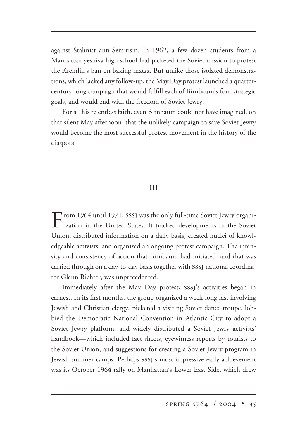against Stalinist anti-Semitism. In 1962, a few dozen students from a Manhattan yeshiva high school had picketed the Soviet mission to protest the Kremlin's ban on baking matza. But unlike those isolated demonstrations, which lacked any follow-up, the May Day protest launched a quartercentury-long campaign that would fulfill each of Birnbaum's four strategic goals, and would end with the freedom of Soviet Jewry.

For all his relentless faith, even Birnbaum could not have imagined, on that silent May afternoon, that the unlikely campaign to save Soviet Jewry would become the most successful protest movement in the history of the diaspora.

#### **III**

From 1964 until 1971, SSSJ was the only full-time Soviet Jewry organization in the United States. It tracked developments in the Soviet Union, distributed information on a daily basis, created nuclei of knowledgeable activists, and organized an ongoing protest campaign. The intensity and consistency of action that Birnbaum had initiated, and that was carried through on a day-to-day basis together with sssj national coordinator Glenn Richter, was unprecedented.

Immediately after the May Day protest, sssj's activities began in earnest. In its first months, the group organized a week-long fast involving Jewish and Christian clergy, picketed a visiting Soviet dance troupe, lobbied the Democratic National Convention in Atlantic City to adopt a Soviet Jewry platform, and widely distributed a Soviet Jewry activists' handbook—which included fact sheets, eyewitness reports by tourists to the Soviet Union, and suggestions for creating a Soviet Jewry program in Jewish summer camps. Perhaps sssj's most impressive early achievement was its October 1964 rally on Manhattan's Lower East Side, which drew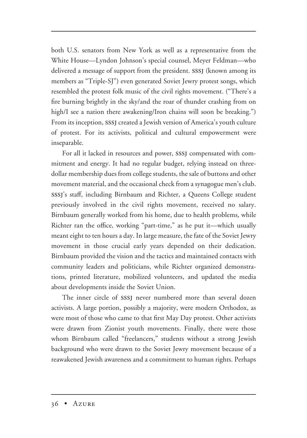both U.S. senators from New York as well as a representative from the White House—Lyndon Johnson's special counsel, Meyer Feldman—who delivered a message of support from the president. sssj (known among its members as "Triple-SJ") even generated Soviet Jewry protest songs, which resembled the protest folk music of the civil rights movement. ("There's a fire burning brightly in the sky/and the roar of thunder crashing from on high/I see a nation there awakening/Iron chains will soon be breaking.") From its inception, sssj created a Jewish version of America's youth culture of protest. For its activists, political and cultural empowerment were inseparable.

For all it lacked in resources and power, sssj compensated with commitment and energy. It had no regular budget, relying instead on threedollar membership dues from college students, the sale of buttons and other movement material, and the occasional check from a synagogue men's club. sssj's staff, including Birnbaum and Richter, a Queens College student previously involved in the civil rights movement, received no salary. Birnbaum generally worked from his home, due to health problems, while Richter ran the office, working "part-time," as he put it—which usually meant eight to ten hours a day. In large measure, the fate of the Soviet Jewry movement in those crucial early years depended on their dedication. Birnbaum provided the vision and the tactics and maintained contacts with community leaders and politicians, while Richter organized demonstrations, printed literature, mobilized volunteers, and updated the media about developments inside the Soviet Union.

The inner circle of sssj never numbered more than several dozen activists. A large portion, possibly a majority, were modern Orthodox, as were most of those who came to that first May Day protest. Other activists were drawn from Zionist youth movements. Finally, there were those whom Birnbaum called "freelancers," students without a strong Jewish background who were drawn to the Soviet Jewry movement because of a reawakened Jewish awareness and a commitment to human rights. Perhaps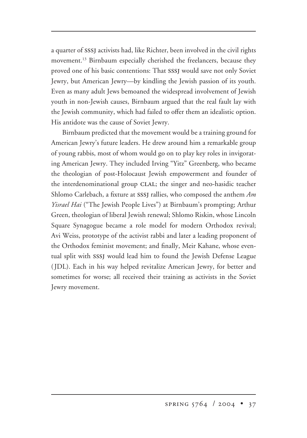a quarter of sssj activists had, like Richter, been involved in the civil rights movement.<sup>13</sup> Birnbaum especially cherished the freelancers, because they proved one of his basic contentions: That sssj would save not only Soviet Jewry, but American Jewry—by kindling the Jewish passion of its youth. Even as many adult Jews bemoaned the widespread involvement of Jewish youth in non-Jewish causes, Birnbaum argued that the real fault lay with the Jewish community, which had failed to offer them an idealistic option. His antidote was the cause of Soviet Jewry.

Birnbaum predicted that the movement would be a training ground for American Jewry's future leaders. He drew around him a remarkable group of young rabbis, most of whom would go on to play key roles in invigorating American Jewry. They included Irving "Yitz" Greenberg, who became the theologian of post-Holocaust Jewish empowerment and founder of the interdenominational group CLAL; the singer and neo-hasidic teacher Shlomo Carlebach, a fixture at sssj rallies, who composed the anthem *Am Yisrael Hai* ("The Jewish People Lives") at Birnbaum's prompting; Arthur Green, theologian of liberal Jewish renewal; Shlomo Riskin, whose Lincoln Square Synagogue became a role model for modern Orthodox revival; Avi Weiss, prototype of the activist rabbi and later a leading proponent of the Orthodox feminist movement; and finally, Meir Kahane, whose eventual split with sssj would lead him to found the Jewish Defense League ( JDL). Each in his way helped revitalize American Jewry, for better and sometimes for worse; all received their training as activists in the Soviet Jewry movement.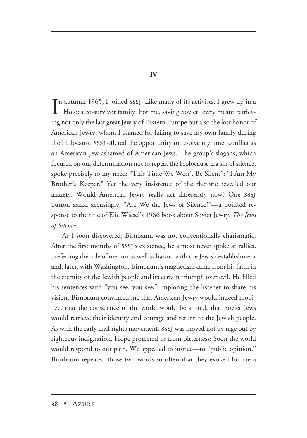In autumn 1965, I joined SSSJ. Like many of its activists, I grew up in a<br>Holocaust-survivor family. For me, saving Soviet Jewry meant retriev-Holocaust-survivor family. For me, saving Soviet Jewry meant retrieving not only the last great Jewry of Eastern Europe but also the lost honor of American Jewry, whom I blamed for failing to save my own family during the Holocaust. sssj offered the opportunity to resolve my inner conflict as an American Jew ashamed of American Jews. The group's slogans, which focused on our determination not to repeat the Holocaust-era sin of silence, spoke precisely to my need: "This Time We Won't Be Silent"; "I Am My Brother's Keeper." Yet the very insistence of the rhetoric revealed our anxiety. Would American Jewry really act differently now? One sssj button asked accusingly, "Are We the Jews of Silence?"—a pointed response to the title of Elie Wiesel's 1966 book about Soviet Jewry, *The Jews of Silence*.

As I soon discovered, Birnbaum was not conventionally charismatic. After the first months of sssj's existence, he almost never spoke at rallies, preferring the role of mentor as well as liaison with the Jewish establishment and, later, with Washington. Birnbaum's magnetism came from his faith in the eternity of the Jewish people and its certain triumph over evil. He filled his sentences with "you see, you see," imploring the listener to share his vision. Birnbaum convinced me that American Jewry would indeed mobilize, that the conscience of the world would be stirred, that Soviet Jews would retrieve their identity and courage and return to the Jewish people. As with the early civil rights movement, sssj was moved not by rage but by righteous indignation. Hope protected us from bitterness: Soon the world would respond to our pain. We appealed to justice—to "public opinion." Birnbaum repeated those two words so often that they evoked for me a

# **IV**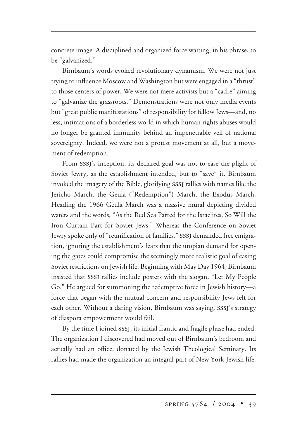concrete image: A disciplined and organized force waiting, in his phrase, to be "galvanized."

Birnbaum's words evoked revolutionary dynamism. We were not just trying to influence Moscow and Washington but were engaged in a "thrust" to those centers of power. We were not mere activists but a "cadre" aiming to "galvanize the grassroots." Demonstrations were not only media events but "great public manifestations" of responsibility for fellow Jews—and, no less, intimations of a borderless world in which human rights abuses would no longer be granted immunity behind an impenetrable veil of national sovereignty. Indeed, we were not a protest movement at all, but a movement of redemption.

From sssj's inception, its declared goal was not to ease the plight of Soviet Jewry, as the establishment intended, but to "save" it. Birnbaum invoked the imagery of the Bible, glorifying sssj rallies with names like the Jericho March, the Geula ("Redemption") March, the Exodus March. Heading the 1966 Geula March was a massive mural depicting divided waters and the words, "As the Red Sea Parted for the Israelites, So Will the Iron Curtain Part for Soviet Jews." Whereas the Conference on Soviet Jewry spoke only of "reunification of families," sssj demanded free emigration, ignoring the establishment's fears that the utopian demand for opening the gates could compromise the seemingly more realistic goal of easing Soviet restrictions on Jewish life. Beginning with May Day 1964, Birnbaum insisted that sssj rallies include posters with the slogan, "Let My People Go." He argued for summoning the redemptive force in Jewish history—a force that began with the mutual concern and responsibility Jews felt for each other. Without a daring vision, Birnbaum was saying, sssj's strategy of diaspora empowerment would fail.

By the time I joined sssj, its initial frantic and fragile phase had ended. The organization I discovered had moved out of Birnbaum's bedroom and actually had an office, donated by the Jewish Theological Seminary. Its rallies had made the organization an integral part of New York Jewish life.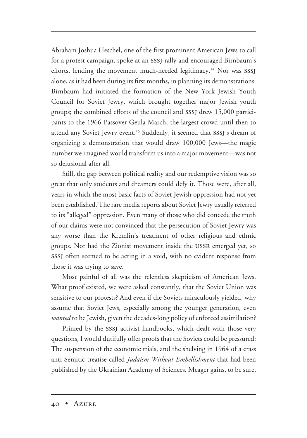Abraham Joshua Heschel, one of the first prominent American Jews to call for a protest campaign, spoke at an sssj rally and encouraged Birnbaum's efforts, lending the movement much-needed legitimacy.<sup>14</sup> Nor was SSSJ alone, as it had been during its first months, in planning its demonstrations. Birnbaum had initiated the formation of the New York Jewish Youth Council for Soviet Jewry, which brought together major Jewish youth groups; the combined efforts of the council and sssj drew 15,000 participants to the 1966 Passover Geula March, the largest crowd until then to attend any Soviet Jewry event.<sup>15</sup> Suddenly, it seemed that SSSJ's dream of organizing a demonstration that would draw 100,000 Jews—the magic number we imagined would transform us into a major movement—was not so delusional after all.

Still, the gap between political reality and our redemptive vision was so great that only students and dreamers could defy it. Those were, after all, years in which the most basic facts of Soviet Jewish oppression had not yet been established. The rare media reports about Soviet Jewry usually referred to its "alleged" oppression. Even many of those who did concede the truth of our claims were not convinced that the persecution of Soviet Jewry was any worse than the Kremlin's treatment of other religious and ethnic groups. Nor had the Zionist movement inside the ussr emerged yet, so sssj often seemed to be acting in a void, with no evident response from those it was trying to save.

Most painful of all was the relentless skepticism of American Jews. What proof existed, we were asked constantly, that the Soviet Union was sensitive to our protests? And even if the Soviets miraculously yielded, why assume that Soviet Jews, especially among the younger generation, even *wanted* to be Jewish, given the decades-long policy of enforced assimilation?

Primed by the sssj activist handbooks, which dealt with those very questions, I would dutifully offer proofs that the Soviets could be pressured: The suspension of the economic trials, and the shelving in 1964 of a crass anti-Semitic treatise called *Judaism Without Embellishment* that had been published by the Ukrainian Academy of Sciences. Meager gains, to be sure,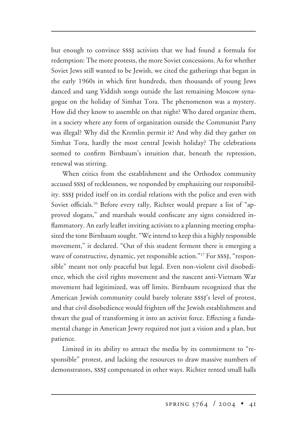but enough to convince sssj activists that we had found a formula for redemption: The more protests, the more Soviet concessions. As for whether Soviet Jews still wanted to be Jewish, we cited the gatherings that began in the early 1960s in which first hundreds, then thousands of young Jews danced and sang Yiddish songs outside the last remaining Moscow synagogue on the holiday of Simhat Tora. The phenomenon was a mystery. How did they know to assemble on that night? Who dared organize them, in a society where any form of organization outside the Communist Party was illegal? Why did the Kremlin permit it? And why did they gather on Simhat Tora, hardly the most central Jewish holiday? The celebrations seemed to confirm Birnbaum's intuition that, beneath the repression, renewal was stirring.

When critics from the establishment and the Orthodox community accused sssj of recklessness, we responded by emphasizing our responsibility. sssj prided itself on its cordial relations with the police and even with Soviet officials.<sup>16</sup> Before every rally, Richter would prepare a list of "approved slogans," and marshals would confiscate any signs considered inflammatory. An early leaflet inviting activists to a planning meeting emphasized the tone Birnbaum sought. "We intend to keep this a highly responsible movement," it declared. "Out of this student ferment there is emerging a wave of constructive, dynamic, yet responsible action."<sup>17</sup> For SSSJ, "responsible" meant not only peaceful but legal. Even non-violent civil disobedience, which the civil rights movement and the nascent anti-Vietnam War movement had legitimized, was off limits. Birnbaum recognized that the American Jewish community could barely tolerate sssj's level of protest, and that civil disobedience would frighten off the Jewish establishment and thwart the goal of transforming it into an activist force. Effecting a fundamental change in American Jewry required not just a vision and a plan, but patience.

Limited in its ability to attract the media by its commitment to "responsible" protest, and lacking the resources to draw massive numbers of demonstrators, sssj compensated in other ways. Richter rented small halls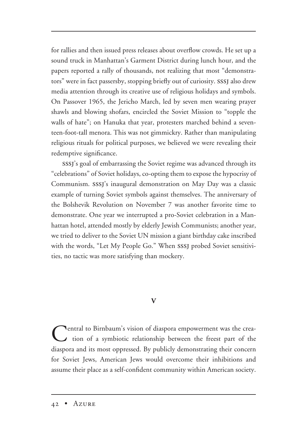for rallies and then issued press releases about overflow crowds. He set up a sound truck in Manhattan's Garment District during lunch hour, and the papers reported a rally of thousands, not realizing that most "demonstrators" were in fact passersby, stopping briefly out of curiosity. sssj also drew media attention through its creative use of religious holidays and symbols. On Passover 1965, the Jericho March, led by seven men wearing prayer shawls and blowing shofars, encircled the Soviet Mission to "topple the walls of hate"; on Hanuka that year, protesters marched behind a seventeen-foot-tall menora. This was not gimmickry. Rather than manipulating religious rituals for political purposes, we believed we were revealing their redemptive significance.

sssj's goal of embarrassing the Soviet regime was advanced through its "celebrations" of Soviet holidays, co-opting them to expose the hypocrisy of Communism. sssj's inaugural demonstration on May Day was a classic example of turning Soviet symbols against themselves. The anniversary of the Bolshevik Revolution on November 7 was another favorite time to demonstrate. One year we interrupted a pro-Soviet celebration in a Manhattan hotel, attended mostly by elderly Jewish Communists; another year, we tried to deliver to the Soviet UN mission a giant birthday cake inscribed with the words, "Let My People Go." When SSSJ probed Soviet sensitivities, no tactic was more satisfying than mockery.

# **V**

**Nentral to Birnbaum's vision of diaspora empowerment was the crea-** $\overline{\phantom{a}}$  tion of a symbiotic relationship between the freest part of the diaspora and its most oppressed. By publicly demonstrating their concern for Soviet Jews, American Jews would overcome their inhibitions and assume their place as a self-confident community within American society.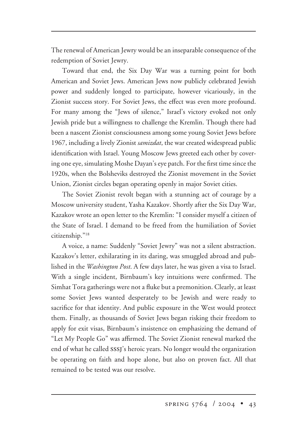The renewal of American Jewry would be an inseparable consequence of the redemption of Soviet Jewry.

Toward that end, the Six Day War was a turning point for both American and Soviet Jews. American Jews now publicly celebrated Jewish power and suddenly longed to participate, however vicariously, in the Zionist success story. For Soviet Jews, the effect was even more profound. For many among the "Jews of silence," Israel's victory evoked not only Jewish pride but a willingness to challenge the Kremlin. Though there had been a nascent Zionist consciousness among some young Soviet Jews before 1967, including a lively Zionist *samizdat*, the war created widespread public identification with Israel. Young Moscow Jews greeted each other by covering one eye, simulating Moshe Dayan's eye patch. For the first time since the 1920s, when the Bolsheviks destroyed the Zionist movement in the Soviet Union, Zionist circles began operating openly in major Soviet cities.

The Soviet Zionist revolt began with a stunning act of courage by a Moscow university student, Yasha Kazakov. Shortly after the Six Day War, Kazakov wrote an open letter to the Kremlin: "I consider myself a citizen of the State of Israel. I demand to be freed from the humiliation of Soviet citizenship."18

A voice, a name: Suddenly "Soviet Jewry" was not a silent abstraction. Kazakov's letter, exhilarating in its daring, was smuggled abroad and published in the *Washington Post*. A few days later, he was given a visa to Israel. With a single incident, Birnbaum's key intuitions were confirmed. The Simhat Tora gatherings were not a fluke but a premonition. Clearly, at least some Soviet Jews wanted desperately to be Jewish and were ready to sacrifice for that identity. And public exposure in the West would protect them. Finally, as thousands of Soviet Jews began risking their freedom to apply for exit visas, Birnbaum's insistence on emphasizing the demand of "Let My People Go" was affirmed. The Soviet Zionist renewal marked the end of what he called sssj's heroic years. No longer would the organization be operating on faith and hope alone, but also on proven fact. All that remained to be tested was our resolve.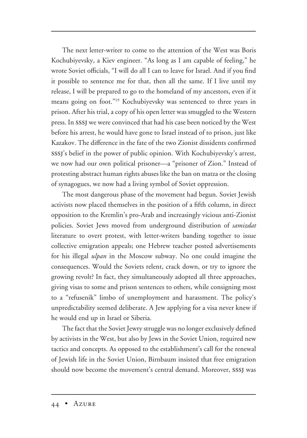The next letter-writer to come to the attention of the West was Boris Kochubiyevsky, a Kiev engineer. "As long as I am capable of feeling," he wrote Soviet officials, "I will do all I can to leave for Israel. And if you find it possible to sentence me for that, then all the same. If I live until my release, I will be prepared to go to the homeland of my ancestors, even if it means going on foot."19 Kochubiyevsky was sentenced to three years in prison. After his trial, a copy of his open letter was smuggled to the Western press. In sssj we were convinced that had his case been noticed by the West before his arrest, he would have gone to Israel instead of to prison, just like Kazakov. The difference in the fate of the two Zionist dissidents confirmed sssj's belief in the power of public opinion. With Kochubiyevsky's arrest, we now had our own political prisoner—a "prisoner of Zion." Instead of protesting abstract human rights abuses like the ban on matza or the closing of synagogues, we now had a living symbol of Soviet oppression.

The most dangerous phase of the movement had begun. Soviet Jewish activists now placed themselves in the position of a fifth column, in direct opposition to the Kremlin's pro-Arab and increasingly vicious anti-Zionist policies. Soviet Jews moved from underground distribution of *samizdat* literature to overt protest, with letter-writers banding together to issue collective emigration appeals; one Hebrew teacher posted advertisements for his illegal *ulpan* in the Moscow subway. No one could imagine the consequences. Would the Soviets relent, crack down, or try to ignore the growing revolt? In fact, they simultaneously adopted all three approaches, giving visas to some and prison sentences to others, while consigning most to a "refusenik" limbo of unemployment and harassment. The policy's unpredictability seemed deliberate. A Jew applying for a visa never knew if he would end up in Israel or Siberia.

The fact that the Soviet Jewry struggle was no longer exclusively defined by activists in the West, but also by Jews in the Soviet Union, required new tactics and concepts. As opposed to the establishment's call for the renewal of Jewish life in the Soviet Union, Birnbaum insisted that free emigration should now become the movement's central demand. Moreover, SSSJ was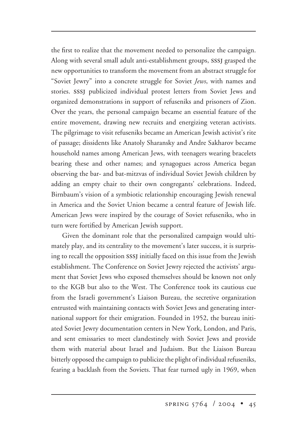the first to realize that the movement needed to personalize the campaign. Along with several small adult anti-establishment groups, sssj grasped the new opportunities to transform the movement from an abstract struggle for "Soviet Jewry" into a concrete struggle for Soviet *Jews*, with names and stories. sssj publicized individual protest letters from Soviet Jews and organized demonstrations in support of refuseniks and prisoners of Zion. Over the years, the personal campaign became an essential feature of the entire movement, drawing new recruits and energizing veteran activists. The pilgrimage to visit refuseniks became an American Jewish activist's rite of passage; dissidents like Anatoly Sharansky and Andre Sakharov became household names among American Jews, with teenagers wearing bracelets bearing these and other names; and synagogues across America began observing the bar- and bat-mitzvas of individual Soviet Jewish children by adding an empty chair to their own congregants' celebrations. Indeed, Birnbaum's vision of a symbiotic relationship encouraging Jewish renewal in America and the Soviet Union became a central feature of Jewish life. American Jews were inspired by the courage of Soviet refuseniks, who in turn were fortified by American Jewish support.

Given the dominant role that the personalized campaign would ultimately play, and its centrality to the movement's later success, it is surprising to recall the opposition sssj initially faced on this issue from the Jewish establishment. The Conference on Soviet Jewry rejected the activists' argument that Soviet Jews who exposed themselves should be known not only to the KGB but also to the West. The Conference took its cautious cue from the Israeli government's Liaison Bureau, the secretive organization entrusted with maintaining contacts with Soviet Jews and generating international support for their emigration. Founded in 1952, the bureau initiated Soviet Jewry documentation centers in New York, London, and Paris, and sent emissaries to meet clandestinely with Soviet Jews and provide them with material about Israel and Judaism. But the Liaison Bureau bitterly opposed the campaign to publicize the plight of individual refuseniks, fearing a backlash from the Soviets. That fear turned ugly in 1969, when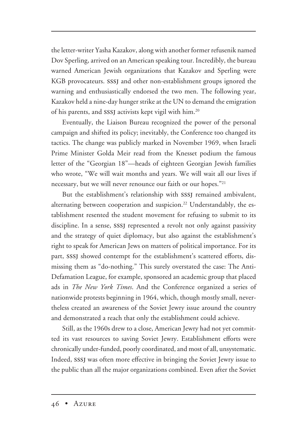the letter-writer Yasha Kazakov, along with another former refusenik named Dov Sperling, arrived on an American speaking tour. Incredibly, the bureau warned American Jewish organizations that Kazakov and Sperling were KGB provocateurs. sssj and other non-establishment groups ignored the warning and enthusiastically endorsed the two men. The following year, Kazakov held a nine-day hunger strike at the UN to demand the emigration of his parents, and SSSJ activists kept vigil with him.<sup>20</sup>

Eventually, the Liaison Bureau recognized the power of the personal campaign and shifted its policy; inevitably, the Conference too changed its tactics. The change was publicly marked in November 1969, when Israeli Prime Minister Golda Meir read from the Knesset podium the famous letter of the "Georgian 18"—heads of eighteen Georgian Jewish families who wrote, "We will wait months and years. We will wait all our lives if necessary, but we will never renounce our faith or our hopes."21

But the establishment's relationship with SSSJ remained ambivalent, alternating between cooperation and suspicion.<sup>22</sup> Understandably, the establishment resented the student movement for refusing to submit to its discipline. In a sense, SSSJ represented a revolt not only against passivity and the strategy of quiet diplomacy, but also against the establishment's right to speak for American Jews on matters of political importance. For its part, sssj showed contempt for the establishment's scattered efforts, dismissing them as "do-nothing." This surely overstated the case: The Anti-Defamation League, for example, sponsored an academic group that placed ads in *The New York Times*. And the Conference organized a series of nationwide protests beginning in 1964, which, though mostly small, nevertheless created an awareness of the Soviet Jewry issue around the country and demonstrated a reach that only the establishment could achieve.

Still, as the 1960s drew to a close, American Jewry had not yet committed its vast resources to saving Soviet Jewry. Establishment efforts were chronically under-funded, poorly coordinated, and most of all, unsystematic. Indeed, sssj was often more effective in bringing the Soviet Jewry issue to the public than all the major organizations combined. Even after the Soviet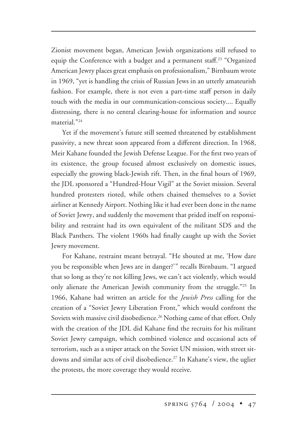Zionist movement began, American Jewish organizations still refused to equip the Conference with a budget and a permanent staff. <sup>23</sup> "Organized American Jewry places great emphasis on professionalism," Birnbaum wrote in 1969, "yet is handling the crisis of Russian Jews in an utterly amateurish fashion. For example, there is not even a part-time staff person in daily touch with the media in our communication-conscious society.... Equally distressing, there is no central clearing-house for information and source material."24

Yet if the movement's future still seemed threatened by establishment passivity, a new threat soon appeared from a different direction. In 1968, Meir Kahane founded the Jewish Defense League. For the first two years of its existence, the group focused almost exclusively on domestic issues, especially the growing black-Jewish rift. Then, in the final hours of 1969, the JDL sponsored a "Hundred-Hour Vigil" at the Soviet mission. Several hundred protesters rioted, while others chained themselves to a Soviet airliner at Kennedy Airport. Nothing like it had ever been done in the name of Soviet Jewry, and suddenly the movement that prided itself on responsibility and restraint had its own equivalent of the militant SDS and the Black Panthers. The violent 1960s had finally caught up with the Soviet Jewry movement.

For Kahane, restraint meant betrayal. "He shouted at me, 'How dare you be responsible when Jews are in danger?'" recalls Birnbaum. "I argued that so long as they're not killing Jews, we can't act violently, which would only alienate the American Jewish community from the struggle."<sup>25</sup> In 1966, Kahane had written an article for the *Jewish Press* calling for the creation of a "Soviet Jewry Liberation Front," which would confront the Soviets with massive civil disobedience.<sup>26</sup> Nothing came of that effort. Only with the creation of the JDL did Kahane find the recruits for his militant Soviet Jewry campaign, which combined violence and occasional acts of terrorism, such as a sniper attack on the Soviet UN mission, with street sitdowns and similar acts of civil disobedience.<sup>27</sup> In Kahane's view, the uglier the protests, the more coverage they would receive.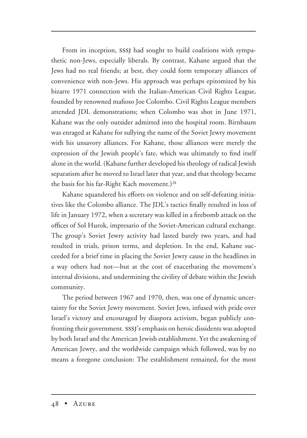From its inception, SSSJ had sought to build coalitions with sympathetic non-Jews, especially liberals. By contrast, Kahane argued that the Jews had no real friends; at best, they could form temporary alliances of convenience with non-Jews. His approach was perhaps epitomized by his bizarre 1971 connection with the Italian-American Civil Rights League, founded by renowned mafioso Joe Colombo. Civil Rights League members attended JDL demonstrations; when Colombo was shot in June 1971, Kahane was the only outsider admitted into the hospital room. Birnbaum was enraged at Kahane for sullying the name of the Soviet Jewry movement with his unsavory alliances. For Kahane, those alliances were merely the expression of the Jewish people's fate, which was ultimately to find itself alone in the world. (Kahane further developed his theology of radical Jewish separatism after he moved to Israel later that year, and that theology became the basis for his far-Right Kach movement.)<sup>28</sup>

Kahane squandered his efforts on violence and on self-defeating initiatives like the Colombo alliance. The JDL's tactics finally resulted in loss of life in January 1972, when a secretary was killed in a firebomb attack on the offices of Sol Hurok, impresario of the Soviet-American cultural exchange. The group's Soviet Jewry activity had lasted barely two years, and had resulted in trials, prison terms, and depletion. In the end, Kahane succeeded for a brief time in placing the Soviet Jewry cause in the headlines in a way others had not—but at the cost of exacerbating the movement's internal divisions, and undermining the civility of debate within the Jewish community.

The period between 1967 and 1970, then, was one of dynamic uncertainty for the Soviet Jewry movement. Soviet Jews, infused with pride over Israel's victory and encouraged by diaspora activism, began publicly confronting their government. sssj's emphasis on heroic dissidents was adopted by both Israel and the American Jewish establishment. Yet the awakening of American Jewry, and the worldwide campaign which followed, was by no means a foregone conclusion: The establishment remained, for the most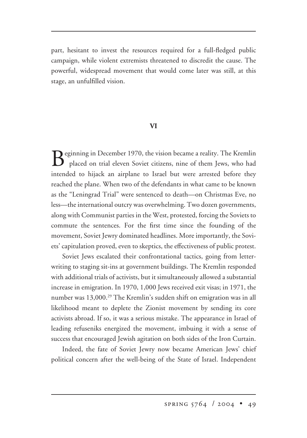part, hesitant to invest the resources required for a full-fledged public campaign, while violent extremists threatened to discredit the cause. The powerful, widespread movement that would come later was still, at this stage, an unfulfilled vision.

## **VI**

Beginning in December 1970, the vision became a reality. The Kremlin placed on trial eleven Soviet citizens, nine of them Jews, who had intended to hijack an airplane to Israel but were arrested before they reached the plane. When two of the defendants in what came to be known as the "Leningrad Trial" were sentenced to death—on Christmas Eve, no less—the international outcry was overwhelming. Two dozen governments, along with Communist parties in the West, protested, forcing the Soviets to commute the sentences. For the first time since the founding of the movement, Soviet Jewry dominated headlines. More importantly, the Soviets' capitulation proved, even to skeptics, the effectiveness of public protest.

Soviet Jews escalated their confrontational tactics, going from letterwriting to staging sit-ins at government buildings. The Kremlin responded with additional trials of activists, but it simultaneously allowed a substantial increase in emigration. In 1970, 1,000 Jews received exit visas; in 1971, the number was 13,000.29 The Kremlin's sudden shift on emigration was in all likelihood meant to deplete the Zionist movement by sending its core activists abroad. If so, it was a serious mistake. The appearance in Israel of leading refuseniks energized the movement, imbuing it with a sense of success that encouraged Jewish agitation on both sides of the Iron Curtain.

Indeed, the fate of Soviet Jewry now became American Jews' chief political concern after the well-being of the State of Israel. Independent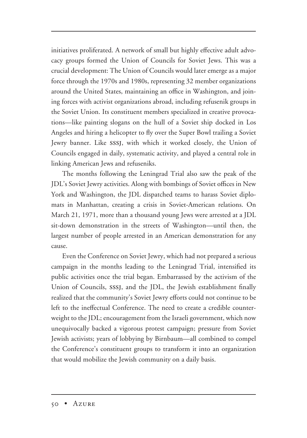initiatives proliferated. A network of small but highly effective adult advocacy groups formed the Union of Councils for Soviet Jews. This was a crucial development: The Union of Councils would later emerge as a major force through the 1970s and 1980s, representing 32 member organizations around the United States, maintaining an office in Washington, and joining forces with activist organizations abroad, including refusenik groups in the Soviet Union. Its constituent members specialized in creative provocations—like painting slogans on the hull of a Soviet ship docked in Los Angeles and hiring a helicopter to fly over the Super Bowl trailing a Soviet Jewry banner. Like sssj, with which it worked closely, the Union of Councils engaged in daily, systematic activity, and played a central role in linking American Jews and refuseniks.

The months following the Leningrad Trial also saw the peak of the JDL's Soviet Jewry activities. Along with bombings of Soviet offices in New York and Washington, the JDL dispatched teams to harass Soviet diplomats in Manhattan, creating a crisis in Soviet-American relations. On March 21, 1971, more than a thousand young Jews were arrested at a JDL sit-down demonstration in the streets of Washington—until then, the largest number of people arrested in an American demonstration for any cause.

Even the Conference on Soviet Jewry, which had not prepared a serious campaign in the months leading to the Leningrad Trial, intensified its public activities once the trial began. Embarrassed by the activism of the Union of Councils, sssj, and the JDL, the Jewish establishment finally realized that the community's Soviet Jewry efforts could not continue to be left to the ineffectual Conference. The need to create a credible counterweight to the JDL; encouragement from the Israeli government, which now unequivocally backed a vigorous protest campaign; pressure from Soviet Jewish activists; years of lobbying by Birnbaum—all combined to compel the Conference's constituent groups to transform it into an organization that would mobilize the Jewish community on a daily basis.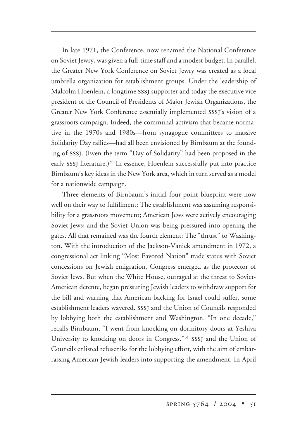In late 1971, the Conference, now renamed the National Conference on Soviet Jewry, was given a full-time staff and a modest budget. In parallel, the Greater New York Conference on Soviet Jewry was created as a local umbrella organization for establishment groups. Under the leadership of Malcolm Hoenlein, a longtime sssj supporter and today the executive vice president of the Council of Presidents of Major Jewish Organizations, the Greater New York Conference essentially implemented sssj's vision of a grassroots campaign. Indeed, the communal activism that became normative in the 1970s and 1980s—from synagogue committees to massive Solidarity Day rallies—had all been envisioned by Birnbaum at the founding of sssj. (Even the term "Day of Solidarity" had been proposed in the early SSSJ literature.)<sup>30</sup> In essence, Hoenlein successfully put into practice Birnbaum's key ideas in the New York area, which in turn served as a model for a nationwide campaign.

Three elements of Birnbaum's initial four-point blueprint were now well on their way to fulfillment: The establishment was assuming responsibility for a grassroots movement; American Jews were actively encouraging Soviet Jews; and the Soviet Union was being pressured into opening the gates. All that remained was the fourth element: The "thrust" to Washington. With the introduction of the Jackson-Vanick amendment in 1972, a congressional act linking "Most Favored Nation" trade status with Soviet concessions on Jewish emigration, Congress emerged as the protector of Soviet Jews. But when the White House, outraged at the threat to Soviet-American detente, began pressuring Jewish leaders to withdraw support for the bill and warning that American backing for Israel could suffer, some establishment leaders wavered. sssj and the Union of Councils responded by lobbying both the establishment and Washington. "In one decade," recalls Birnbaum, "I went from knocking on dormitory doors at Yeshiva University to knocking on doors in Congress."<sup>31</sup> SSSJ and the Union of Councils enlisted refuseniks for the lobbying effort, with the aim of embarrassing American Jewish leaders into supporting the amendment. In April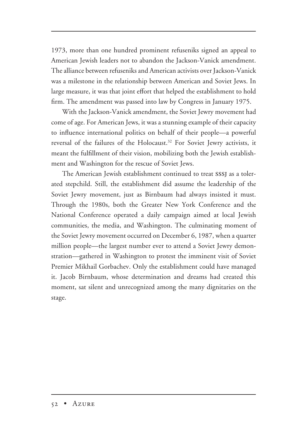1973, more than one hundred prominent refuseniks signed an appeal to American Jewish leaders not to abandon the Jackson-Vanick amendment. The alliance between refuseniks and American activists over Jackson-Vanick was a milestone in the relationship between American and Soviet Jews. In large measure, it was that joint effort that helped the establishment to hold firm. The amendment was passed into law by Congress in January 1975.

With the Jackson-Vanick amendment, the Soviet Jewry movement had come of age. For American Jews, it was a stunning example of their capacity to influence international politics on behalf of their people—a powerful reversal of the failures of the Holocaust.<sup>32</sup> For Soviet Jewry activists, it meant the fulfillment of their vision, mobilizing both the Jewish establishment and Washington for the rescue of Soviet Jews.

The American Jewish establishment continued to treat SSSI as a tolerated stepchild. Still, the establishment did assume the leadership of the Soviet Jewry movement, just as Birnbaum had always insisted it must. Through the 1980s, both the Greater New York Conference and the National Conference operated a daily campaign aimed at local Jewish communities, the media, and Washington. The culminating moment of the Soviet Jewry movement occurred on December 6, 1987, when a quarter million people—the largest number ever to attend a Soviet Jewry demonstration—gathered in Washington to protest the imminent visit of Soviet Premier Mikhail Gorbachev. Only the establishment could have managed it. Jacob Birnbaum, whose determination and dreams had created this moment, sat silent and unrecognized among the many dignitaries on the stage.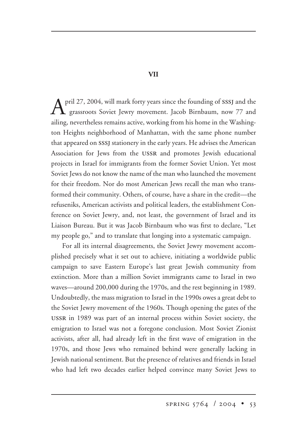$\Lambda$  pril 27, 2004, will mark forty years since the founding of SSSJ and the grassroots Soviet Jewry movement. Jacob Birnbaum, now 77 and ailing, nevertheless remains active, working from his home in the Washington Heights neighborhood of Manhattan, with the same phone number that appeared on sssj stationery in the early years. He advises the American Association for Jews from the ussr and promotes Jewish educational projects in Israel for immigrants from the former Soviet Union. Yet most Soviet Jews do not know the name of the man who launched the movement for their freedom. Nor do most American Jews recall the man who transformed their community. Others, of course, have a share in the credit—the refuseniks, American activists and political leaders, the establishment Conference on Soviet Jewry, and, not least, the government of Israel and its Liaison Bureau. But it was Jacob Birnbaum who was first to declare, "Let my people go," and to translate that longing into a systematic campaign.

For all its internal disagreements, the Soviet Jewry movement accomplished precisely what it set out to achieve, initiating a worldwide public campaign to save Eastern Europe's last great Jewish community from extinction. More than a million Soviet immigrants came to Israel in two waves—around 200,000 during the 1970s, and the rest beginning in 1989. Undoubtedly, the mass migration to Israel in the 1990s owes a great debt to the Soviet Jewry movement of the 1960s. Though opening the gates of the ussr in 1989 was part of an internal process within Soviet society, the emigration to Israel was not a foregone conclusion. Most Soviet Zionist activists, after all, had already left in the first wave of emigration in the 1970s, and those Jews who remained behind were generally lacking in Jewish national sentiment. But the presence of relatives and friends in Israel who had left two decades earlier helped convince many Soviet Jews to

### **VII**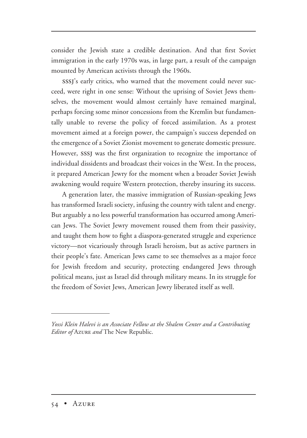consider the Jewish state a credible destination. And that first Soviet immigration in the early 1970s was, in large part, a result of the campaign mounted by American activists through the 1960s.

sssj's early critics, who warned that the movement could never succeed, were right in one sense: Without the uprising of Soviet Jews themselves, the movement would almost certainly have remained marginal, perhaps forcing some minor concessions from the Kremlin but fundamentally unable to reverse the policy of forced assimilation. As a protest movement aimed at a foreign power, the campaign's success depended on the emergence of a Soviet Zionist movement to generate domestic pressure. However, sssj was the first organization to recognize the importance of individual dissidents and broadcast their voices in the West. In the process, it prepared American Jewry for the moment when a broader Soviet Jewish awakening would require Western protection, thereby insuring its success.

A generation later, the massive immigration of Russian-speaking Jews has transformed Israeli society, infusing the country with talent and energy. But arguably a no less powerful transformation has occurred among American Jews. The Soviet Jewry movement roused them from their passivity, and taught them how to fight a diaspora-generated struggle and experience victory—not vicariously through Israeli heroism, but as active partners in their people's fate. American Jews came to see themselves as a major force for Jewish freedom and security, protecting endangered Jews through political means, just as Israel did through military means. In its struggle for the freedom of Soviet Jews, American Jewry liberated itself as well.

*Yossi Klein Halevi is an Associate Fellow at the Shalem Center and a Contributing Editor of* Azure *and* The New Republic.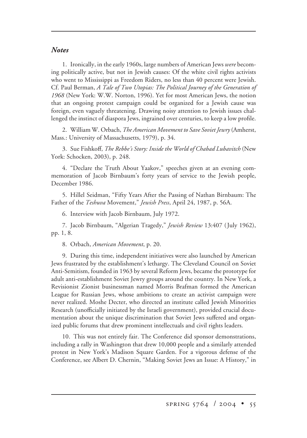## *Notes*

1. Ironically, in the early 1960s, large numbers of American Jews *were* becoming politically active, but not in Jewish causes: Of the white civil rights activists who went to Mississippi as Freedom Riders, no less than 40 percent were Jewish. Cf. Paul Berman, *A Tale of Two Utopias: The Political Journey of the Generation of 1968* (New York: W.W. Norton, 1996). Yet for most American Jews, the notion that an ongoing protest campaign could be organized for a Jewish cause was foreign, even vaguely threatening. Drawing noisy attention to Jewish issues challenged the instinct of diaspora Jews, ingrained over centuries, to keep a low profile.

2. William W. Orbach, *The American Movement to Save Soviet Jewry* (Amherst, Mass.: University of Massachusetts, 1979), p. 34.

3. Sue Fishkoff, *The Rebbe's Story: Inside the World of Chabad Lubavitch* (New York: Schocken, 2003), p. 248.

4. "Declare the Truth About Yaakov," speeches given at an evening commemoration of Jacob Birnbaum's forty years of service to the Jewish people, December 1986.

5. Hillel Seidman, "Fifty Years After the Passing of Nathan Birnbaum: The Father of the *Teshuva* Movement," *Jewish Press*, April 24, 1987, p. 56A.

6. Interview with Jacob Birnbaum, July 1972.

7. Jacob Birnbaum, "Algerian Tragedy," *Jewish Review* 13:407 (July 1962), pp. 1, 8.

8. Orbach, *American Movement*, p. 20.

9. During this time, independent initiatives were also launched by American Jews frustrated by the establishment's lethargy. The Cleveland Council on Soviet Anti-Semitism, founded in 1963 by several Reform Jews, became the prototype for adult anti-establishment Soviet Jewry groups around the country. In New York, a Revisionist Zionist businessman named Morris Brafman formed the American League for Russian Jews, whose ambitions to create an activist campaign were never realized. Moshe Decter, who directed an institute called Jewish Minorities Research (unofficially initiated by the Israeli government), provided crucial documentation about the unique discrimination that Soviet Jews suffered and organized public forums that drew prominent intellectuals and civil rights leaders.

10. This was not entirely fair. The Conference did sponsor demonstrations, including a rally in Washington that drew 10,000 people and a similarly attended protest in New York's Madison Square Garden. For a vigorous defense of the Conference, see Albert D. Chernin, "Making Soviet Jews an Issue: A History," in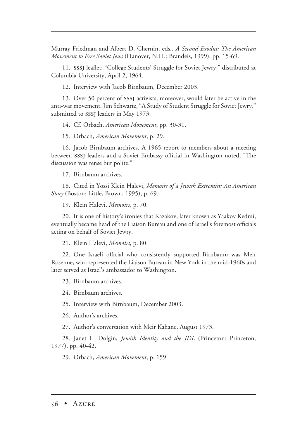Murray Friedman and Albert D. Chernin, eds., *A Second Exodus: The American Movement to Free Soviet Jews* (Hanover, N.H.: Brandeis, 1999), pp. 15-69.

11. sssj leaflet: "College Students' Struggle for Soviet Jewry," distributed at Columbia University, April 2, 1964.

12. Interview with Jacob Birnbaum, December 2003.

13. Over 50 percent of sssj activists, moreover, would later be active in the anti-war movement. Jim Schwartz, "A Study of Student Struggle for Soviet Jewry," submitted to SSSJ leaders in May 1973.

14. Cf. Orbach, *American Movement*, pp. 30-31.

15. Orbach, *American Movement*, p. 29.

16. Jacob Birnbaum archives. A 1965 report to members about a meeting between sssj leaders and a Soviet Embassy official in Washington noted, "The discussion was tense but polite."

17. Birnbaum archives.

18. Cited in Yossi Klein Halevi, *Memoirs of a Jewish Extremist: An American Story* (Boston: Little, Brown, 1995), p. 69.

19. Klein Halevi, *Memoirs*, p. 70.

20. It is one of history's ironies that Kazakov, later known as Yaakov Kedmi, eventually became head of the Liaison Bureau and one of Israel's foremost officials acting on behalf of Soviet Jewry.

21. Klein Halevi, *Memoirs*, p. 80.

22. One Israeli official who consistently supported Birnbaum was Meir Rosenne, who represented the Liaison Bureau in New York in the mid-1960s and later served as Israel's ambassador to Washington.

23. Birnbaum archives.

24. Birnbaum archives.

25. Interview with Birnbaum, December 2003.

26. Author's archives.

27. Author's conversation with Meir Kahane, August 1973.

28. Janet L. Dolgin, *Jewish Identity and the JDL* (Princeton: Princeton, 1977), pp. 40-42.

29. Orbach, *American Movement*, p. 159.